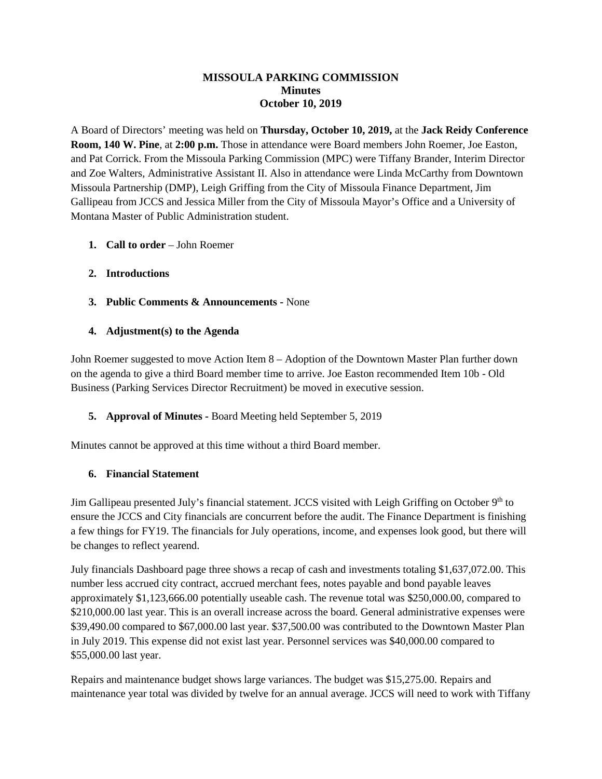#### **MISSOULA PARKING COMMISSION Minutes October 10, 2019**

A Board of Directors' meeting was held on **Thursday, October 10, 2019,** at the **Jack Reidy Conference Room, 140 W. Pine**, at **2:00 p.m.** Those in attendance were Board members John Roemer, Joe Easton, and Pat Corrick. From the Missoula Parking Commission (MPC) were Tiffany Brander, Interim Director and Zoe Walters, Administrative Assistant II. Also in attendance were Linda McCarthy from Downtown Missoula Partnership (DMP), Leigh Griffing from the City of Missoula Finance Department, Jim Gallipeau from JCCS and Jessica Miller from the City of Missoula Mayor's Office and a University of Montana Master of Public Administration student.

- **1. Call to order**  John Roemer
- **2. Introductions**
- **3. Public Comments & Announcements -** None
- **4. Adjustment(s) to the Agenda**

John Roemer suggested to move Action Item 8 – Adoption of the Downtown Master Plan further down on the agenda to give a third Board member time to arrive. Joe Easton recommended Item 10b - Old Business (Parking Services Director Recruitment) be moved in executive session.

**5. Approval of Minutes -** Board Meeting held September 5, 2019

Minutes cannot be approved at this time without a third Board member.

#### **6. Financial Statement**

Jim Gallipeau presented July's financial statement. JCCS visited with Leigh Griffing on October 9<sup>th</sup> to ensure the JCCS and City financials are concurrent before the audit. The Finance Department is finishing a few things for FY19. The financials for July operations, income, and expenses look good, but there will be changes to reflect yearend.

July financials Dashboard page three shows a recap of cash and investments totaling \$1,637,072.00. This number less accrued city contract, accrued merchant fees, notes payable and bond payable leaves approximately \$1,123,666.00 potentially useable cash. The revenue total was \$250,000.00, compared to \$210,000.00 last year. This is an overall increase across the board. General administrative expenses were \$39,490.00 compared to \$67,000.00 last year. \$37,500.00 was contributed to the Downtown Master Plan in July 2019. This expense did not exist last year. Personnel services was \$40,000.00 compared to \$55,000.00 last year.

Repairs and maintenance budget shows large variances. The budget was \$15,275.00. Repairs and maintenance year total was divided by twelve for an annual average. JCCS will need to work with Tiffany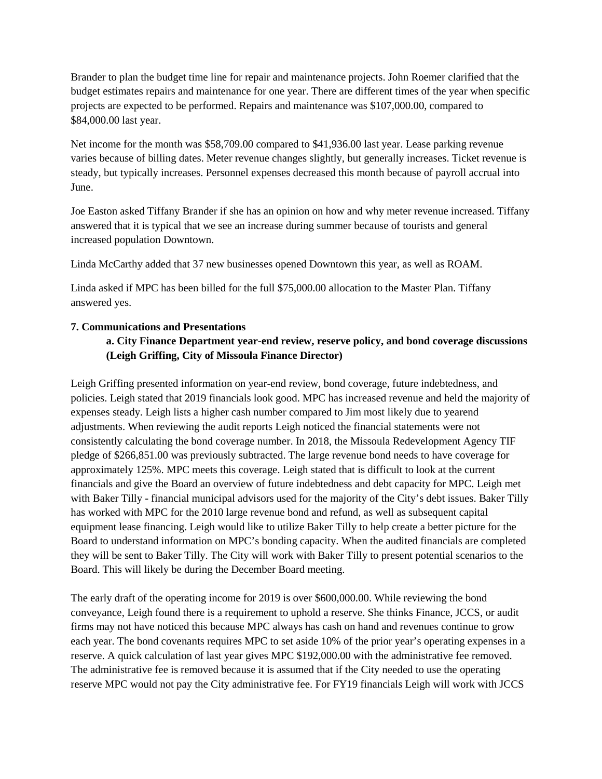Brander to plan the budget time line for repair and maintenance projects. John Roemer clarified that the budget estimates repairs and maintenance for one year. There are different times of the year when specific projects are expected to be performed. Repairs and maintenance was \$107,000.00, compared to \$84,000.00 last year.

Net income for the month was \$58,709.00 compared to \$41,936.00 last year. Lease parking revenue varies because of billing dates. Meter revenue changes slightly, but generally increases. Ticket revenue is steady, but typically increases. Personnel expenses decreased this month because of payroll accrual into June.

Joe Easton asked Tiffany Brander if she has an opinion on how and why meter revenue increased. Tiffany answered that it is typical that we see an increase during summer because of tourists and general increased population Downtown.

Linda McCarthy added that 37 new businesses opened Downtown this year, as well as ROAM.

Linda asked if MPC has been billed for the full \$75,000.00 allocation to the Master Plan. Tiffany answered yes.

### **7. Communications and Presentations**

## **a. City Finance Department year-end review, reserve policy, and bond coverage discussions (Leigh Griffing, City of Missoula Finance Director)**

Leigh Griffing presented information on year-end review, bond coverage, future indebtedness, and policies. Leigh stated that 2019 financials look good. MPC has increased revenue and held the majority of expenses steady. Leigh lists a higher cash number compared to Jim most likely due to yearend adjustments. When reviewing the audit reports Leigh noticed the financial statements were not consistently calculating the bond coverage number. In 2018, the Missoula Redevelopment Agency TIF pledge of \$266,851.00 was previously subtracted. The large revenue bond needs to have coverage for approximately 125%. MPC meets this coverage. Leigh stated that is difficult to look at the current financials and give the Board an overview of future indebtedness and debt capacity for MPC. Leigh met with Baker Tilly - financial municipal advisors used for the majority of the City's debt issues. Baker Tilly has worked with MPC for the 2010 large revenue bond and refund, as well as subsequent capital equipment lease financing. Leigh would like to utilize Baker Tilly to help create a better picture for the Board to understand information on MPC's bonding capacity. When the audited financials are completed they will be sent to Baker Tilly. The City will work with Baker Tilly to present potential scenarios to the Board. This will likely be during the December Board meeting.

The early draft of the operating income for 2019 is over \$600,000.00. While reviewing the bond conveyance, Leigh found there is a requirement to uphold a reserve. She thinks Finance, JCCS, or audit firms may not have noticed this because MPC always has cash on hand and revenues continue to grow each year. The bond covenants requires MPC to set aside 10% of the prior year's operating expenses in a reserve. A quick calculation of last year gives MPC \$192,000.00 with the administrative fee removed. The administrative fee is removed because it is assumed that if the City needed to use the operating reserve MPC would not pay the City administrative fee. For FY19 financials Leigh will work with JCCS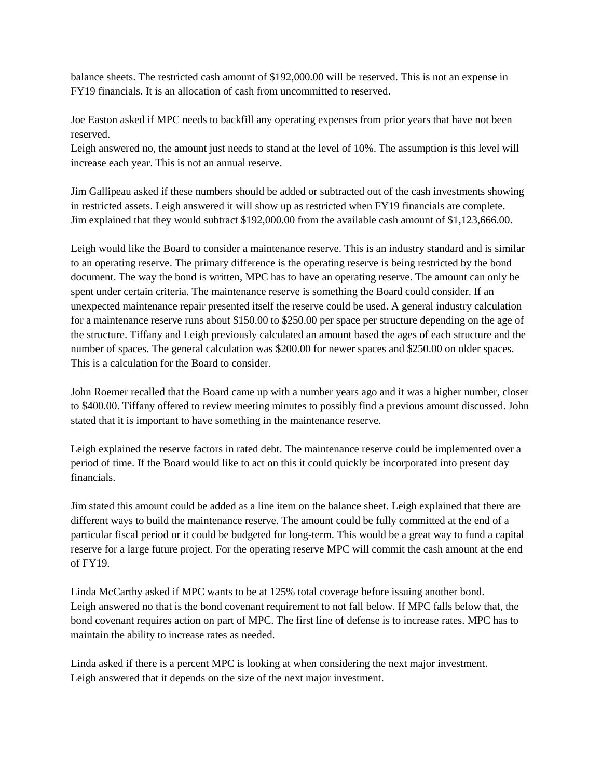balance sheets. The restricted cash amount of \$192,000.00 will be reserved. This is not an expense in FY19 financials. It is an allocation of cash from uncommitted to reserved.

Joe Easton asked if MPC needs to backfill any operating expenses from prior years that have not been reserved.

Leigh answered no, the amount just needs to stand at the level of 10%. The assumption is this level will increase each year. This is not an annual reserve.

Jim Gallipeau asked if these numbers should be added or subtracted out of the cash investments showing in restricted assets. Leigh answered it will show up as restricted when FY19 financials are complete. Jim explained that they would subtract \$192,000.00 from the available cash amount of \$1,123,666.00.

Leigh would like the Board to consider a maintenance reserve. This is an industry standard and is similar to an operating reserve. The primary difference is the operating reserve is being restricted by the bond document. The way the bond is written, MPC has to have an operating reserve. The amount can only be spent under certain criteria. The maintenance reserve is something the Board could consider. If an unexpected maintenance repair presented itself the reserve could be used. A general industry calculation for a maintenance reserve runs about \$150.00 to \$250.00 per space per structure depending on the age of the structure. Tiffany and Leigh previously calculated an amount based the ages of each structure and the number of spaces. The general calculation was \$200.00 for newer spaces and \$250.00 on older spaces. This is a calculation for the Board to consider.

John Roemer recalled that the Board came up with a number years ago and it was a higher number, closer to \$400.00. Tiffany offered to review meeting minutes to possibly find a previous amount discussed. John stated that it is important to have something in the maintenance reserve.

Leigh explained the reserve factors in rated debt. The maintenance reserve could be implemented over a period of time. If the Board would like to act on this it could quickly be incorporated into present day financials.

Jim stated this amount could be added as a line item on the balance sheet. Leigh explained that there are different ways to build the maintenance reserve. The amount could be fully committed at the end of a particular fiscal period or it could be budgeted for long-term. This would be a great way to fund a capital reserve for a large future project. For the operating reserve MPC will commit the cash amount at the end of FY19.

Linda McCarthy asked if MPC wants to be at 125% total coverage before issuing another bond. Leigh answered no that is the bond covenant requirement to not fall below. If MPC falls below that, the bond covenant requires action on part of MPC. The first line of defense is to increase rates. MPC has to maintain the ability to increase rates as needed.

Linda asked if there is a percent MPC is looking at when considering the next major investment. Leigh answered that it depends on the size of the next major investment.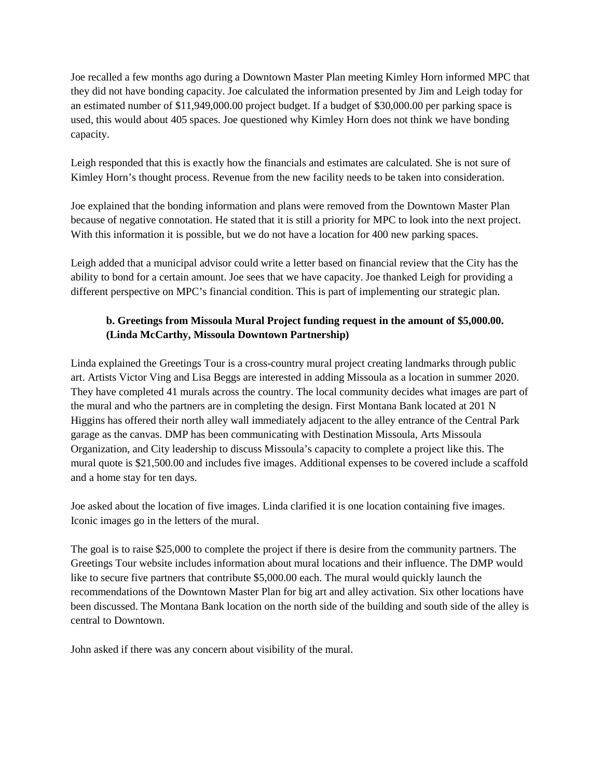Joe recalled a few months ago during a Downtown Master Plan meeting Kimley Horn informed MPC that they did not have bonding capacity. Joe calculated the information presented by Jim and Leigh today for an estimated number of \$11,949,000.00 project budget. If a budget of \$30,000.00 per parking space is used, this would about 405 spaces. Joe questioned why Kimley Horn does not think we have bonding capacity.

Leigh responded that this is exactly how the financials and estimates are calculated. She is not sure of Kimley Horn's thought process. Revenue from the new facility needs to be taken into consideration.

Joe explained that the bonding information and plans were removed from the Downtown Master Plan because of negative connotation. He stated that it is still a priority for MPC to look into the next project. With this information it is possible, but we do not have a location for 400 new parking spaces.

Leigh added that a municipal advisor could write a letter based on financial review that the City has the ability to bond for a certain amount. Joe sees that we have capacity. Joe thanked Leigh for providing a different perspective on MPC's financial condition. This is part of implementing our strategic plan.

# **b. Greetings from Missoula Mural Project funding request in the amount of \$5,000.00. (Linda McCarthy, Missoula Downtown Partnership)**

Linda explained the Greetings Tour is a cross-country mural project creating landmarks through public art. Artists Victor Ving and Lisa Beggs are interested in adding Missoula as a location in summer 2020. They have completed 41 murals across the country. The local community decides what images are part of the mural and who the partners are in completing the design. First Montana Bank located at 201 N Higgins has offered their north alley wall immediately adjacent to the alley entrance of the Central Park garage as the canvas. DMP has been communicating with Destination Missoula, Arts Missoula Organization, and City leadership to discuss Missoula's capacity to complete a project like this. The mural quote is \$21,500.00 and includes five images. Additional expenses to be covered include a scaffold and a home stay for ten days.

Joe asked about the location of five images. Linda clarified it is one location containing five images. Iconic images go in the letters of the mural.

The goal is to raise \$25,000 to complete the project if there is desire from the community partners. The Greetings Tour website includes information about mural locations and their influence. The DMP would like to secure five partners that contribute \$5,000.00 each. The mural would quickly launch the recommendations of the Downtown Master Plan for big art and alley activation. Six other locations have been discussed. The Montana Bank location on the north side of the building and south side of the alley is central to Downtown.

John asked if there was any concern about visibility of the mural.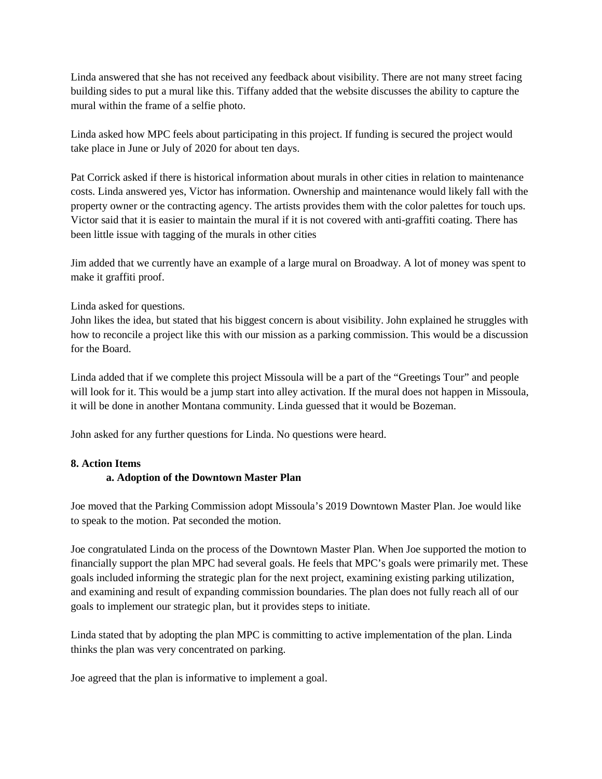Linda answered that she has not received any feedback about visibility. There are not many street facing building sides to put a mural like this. Tiffany added that the website discusses the ability to capture the mural within the frame of a selfie photo.

Linda asked how MPC feels about participating in this project. If funding is secured the project would take place in June or July of 2020 for about ten days.

Pat Corrick asked if there is historical information about murals in other cities in relation to maintenance costs. Linda answered yes, Victor has information. Ownership and maintenance would likely fall with the property owner or the contracting agency. The artists provides them with the color palettes for touch ups. Victor said that it is easier to maintain the mural if it is not covered with anti-graffiti coating. There has been little issue with tagging of the murals in other cities

Jim added that we currently have an example of a large mural on Broadway. A lot of money was spent to make it graffiti proof.

### Linda asked for questions.

John likes the idea, but stated that his biggest concern is about visibility. John explained he struggles with how to reconcile a project like this with our mission as a parking commission. This would be a discussion for the Board.

Linda added that if we complete this project Missoula will be a part of the "Greetings Tour" and people will look for it. This would be a jump start into alley activation. If the mural does not happen in Missoula, it will be done in another Montana community. Linda guessed that it would be Bozeman.

John asked for any further questions for Linda. No questions were heard.

### **8. Action Items**

### **a. Adoption of the Downtown Master Plan**

Joe moved that the Parking Commission adopt Missoula's 2019 Downtown Master Plan. Joe would like to speak to the motion. Pat seconded the motion.

Joe congratulated Linda on the process of the Downtown Master Plan. When Joe supported the motion to financially support the plan MPC had several goals. He feels that MPC's goals were primarily met. These goals included informing the strategic plan for the next project, examining existing parking utilization, and examining and result of expanding commission boundaries. The plan does not fully reach all of our goals to implement our strategic plan, but it provides steps to initiate.

Linda stated that by adopting the plan MPC is committing to active implementation of the plan. Linda thinks the plan was very concentrated on parking.

Joe agreed that the plan is informative to implement a goal.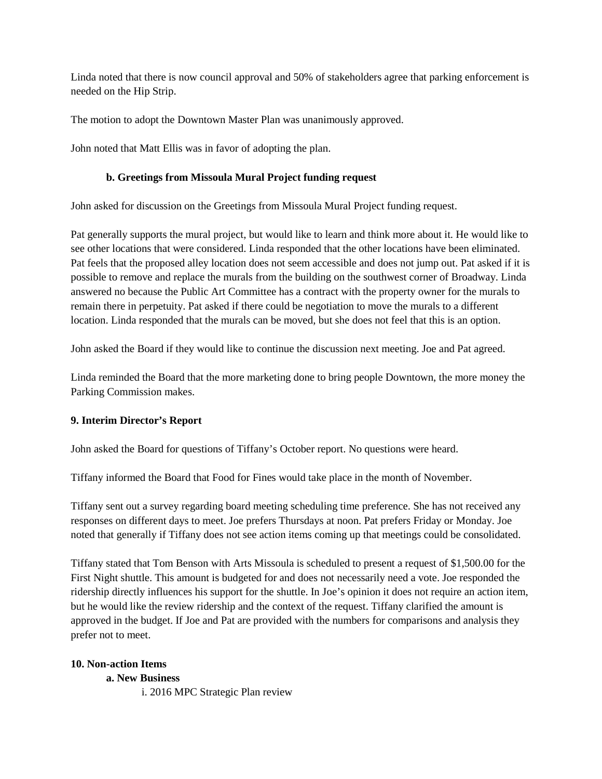Linda noted that there is now council approval and 50% of stakeholders agree that parking enforcement is needed on the Hip Strip.

The motion to adopt the Downtown Master Plan was unanimously approved.

John noted that Matt Ellis was in favor of adopting the plan.

### **b. Greetings from Missoula Mural Project funding request**

John asked for discussion on the Greetings from Missoula Mural Project funding request.

Pat generally supports the mural project, but would like to learn and think more about it. He would like to see other locations that were considered. Linda responded that the other locations have been eliminated. Pat feels that the proposed alley location does not seem accessible and does not jump out. Pat asked if it is possible to remove and replace the murals from the building on the southwest corner of Broadway. Linda answered no because the Public Art Committee has a contract with the property owner for the murals to remain there in perpetuity. Pat asked if there could be negotiation to move the murals to a different location. Linda responded that the murals can be moved, but she does not feel that this is an option.

John asked the Board if they would like to continue the discussion next meeting. Joe and Pat agreed.

Linda reminded the Board that the more marketing done to bring people Downtown, the more money the Parking Commission makes.

### **9. Interim Director's Report**

John asked the Board for questions of Tiffany's October report. No questions were heard.

Tiffany informed the Board that Food for Fines would take place in the month of November.

Tiffany sent out a survey regarding board meeting scheduling time preference. She has not received any responses on different days to meet. Joe prefers Thursdays at noon. Pat prefers Friday or Monday. Joe noted that generally if Tiffany does not see action items coming up that meetings could be consolidated.

Tiffany stated that Tom Benson with Arts Missoula is scheduled to present a request of \$1,500.00 for the First Night shuttle. This amount is budgeted for and does not necessarily need a vote. Joe responded the ridership directly influences his support for the shuttle. In Joe's opinion it does not require an action item, but he would like the review ridership and the context of the request. Tiffany clarified the amount is approved in the budget. If Joe and Pat are provided with the numbers for comparisons and analysis they prefer not to meet.

### **10. Non-action Items**

### **a. New Business**

i. 2016 MPC Strategic Plan review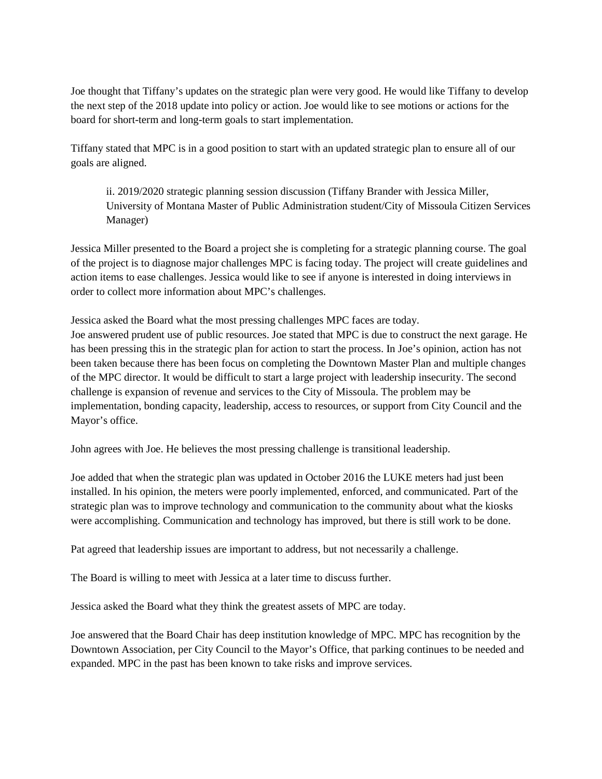Joe thought that Tiffany's updates on the strategic plan were very good. He would like Tiffany to develop the next step of the 2018 update into policy or action. Joe would like to see motions or actions for the board for short-term and long-term goals to start implementation.

Tiffany stated that MPC is in a good position to start with an updated strategic plan to ensure all of our goals are aligned.

ii. 2019/2020 strategic planning session discussion (Tiffany Brander with Jessica Miller, University of Montana Master of Public Administration student/City of Missoula Citizen Services Manager)

Jessica Miller presented to the Board a project she is completing for a strategic planning course. The goal of the project is to diagnose major challenges MPC is facing today. The project will create guidelines and action items to ease challenges. Jessica would like to see if anyone is interested in doing interviews in order to collect more information about MPC's challenges.

Jessica asked the Board what the most pressing challenges MPC faces are today.

Joe answered prudent use of public resources. Joe stated that MPC is due to construct the next garage. He has been pressing this in the strategic plan for action to start the process. In Joe's opinion, action has not been taken because there has been focus on completing the Downtown Master Plan and multiple changes of the MPC director. It would be difficult to start a large project with leadership insecurity. The second challenge is expansion of revenue and services to the City of Missoula. The problem may be implementation, bonding capacity, leadership, access to resources, or support from City Council and the Mayor's office.

John agrees with Joe. He believes the most pressing challenge is transitional leadership.

Joe added that when the strategic plan was updated in October 2016 the LUKE meters had just been installed. In his opinion, the meters were poorly implemented, enforced, and communicated. Part of the strategic plan was to improve technology and communication to the community about what the kiosks were accomplishing. Communication and technology has improved, but there is still work to be done.

Pat agreed that leadership issues are important to address, but not necessarily a challenge.

The Board is willing to meet with Jessica at a later time to discuss further.

Jessica asked the Board what they think the greatest assets of MPC are today.

Joe answered that the Board Chair has deep institution knowledge of MPC. MPC has recognition by the Downtown Association, per City Council to the Mayor's Office, that parking continues to be needed and expanded. MPC in the past has been known to take risks and improve services.